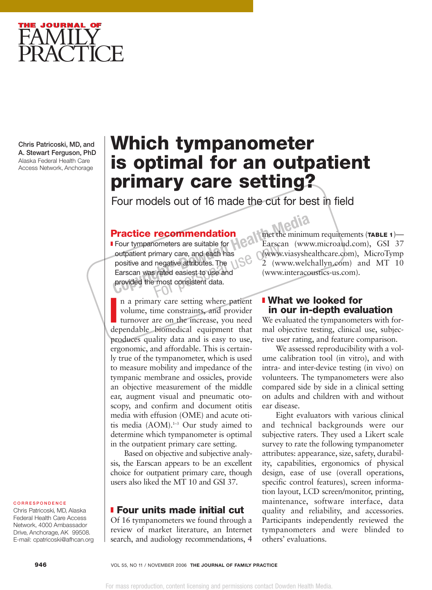

Chris Patricoski, MD, and A. Stewart Ferguson, PhD Alaska Federal Health Care Access Network, Anchorage

# **Which tympanometer is optimal for an outpatient primary care setting?**

Four models out of 16 made the cut for best in field

# **Practice recommendation**

**Four tympanometers are suitable for** outpatient primary care, and each has positive and negative attributes. The Earscan was rated easiest to use and provided the most consistent data. **Practice recommendation**<br>
Four tympanometers are suitable for Earscan (www.outpatient primary care, and each has<br>
positive and negative attributes. The Section Media Consistent Carscan was rated easiest to use and<br>
provid

In a primary care setting where patient volume, time constraints, and provider turnover are on the increase, you need dependable biomedical equipment that n a primary care setting where patient volume, time constraints, and provider turnover are on the increase, you need produces quality data and is easy to use, ergonomic, and affordable. This is certainly true of the tympanometer, which is used to measure mobility and impedance of the tympanic membrane and ossicles, provide an objective measurement of the middle ear, augment visual and pneumatic otoscopy, and confirm and document otitis media with effusion (OME) and acute otitis media  $(AOM).<sup>1-3</sup>$  Our study aimed to determine which tympanometer is optimal in the outpatient primary care setting.

Based on objective and subjective analysis, the Earscan appears to be an excellent choice for outpatient primary care, though users also liked the MT 10 and GSI 37.

# ❚ **Four units made initial cut**

Of 16 tympanometers we found through a review of market literature, an Internet search, and audiology recommendations, 4

met the minimum requirements (**TABLE 1**)— Earscan (www.microaud.com), GSI 37 (www.viasyshealthcare.com), MicroTymp 2 (www.welchallyn.com) and MT 10 (www.interacoustics-us.com).

#### ❚ **What we looked for in our in-depth evaluation**

We evaluated the tympanometers with formal objective testing, clinical use, subjective user rating, and feature comparison.

We assessed reproducibility with a volume calibration tool (in vitro), and with intra- and inter-device testing (in vivo) on volunteers. The tympanometers were also compared side by side in a clinical setting on adults and children with and without ear disease.

Eight evaluators with various clinical and technical backgrounds were our subjective raters. They used a Likert scale survey to rate the following tympanometer attributes: appearance, size, safety, durability, capabilities, ergonomics of physical design, ease of use (overall operations, specific control features), screen information layout, LCD screen/monitor, printing, maintenance, software interface, data quality and reliability, and accessories. Participants independently reviewed the tympanometers and were blinded to others' evaluations.

#### C O RRES P O N D E N C E

Chris Patricoski, MD, Alaska Federal Health Care Access Network, 4000 Ambassador Drive, Anchorage, AK 99508. E-mail: cpatricoski@afhcan.org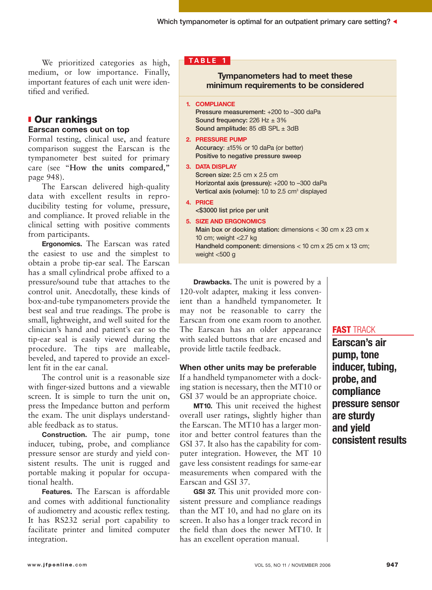We prioritized categories as high, medium, or low importance. Finally, important features of each unit were identified and verified.

# ❚ **Our rankings**

#### **Earscan comes out on top**

Formal testing, clinical use, and feature comparison suggest the Earscan is the tympanometer best suited for primary care (see "**How the units compared,"** page 948).

The Earscan delivered high-quality data with excellent results in reproducibility testing for volume, pressure, and compliance. It proved reliable in the clinical setting with positive comments from participants.

**Ergonomics.** The Earscan was rated the easiest to use and the simplest to obtain a probe tip-ear seal. The Earscan has a small cylindrical probe affixed to a pressure/sound tube that attaches to the control unit. Anecdotally, these kinds of box-and-tube tympanometers provide the best seal and true readings. The probe is small, lightweight, and well suited for the clinician's hand and patient's ear so the tip-ear seal is easily viewed during the procedure. The tips are malleable, beveled, and tapered to provide an excellent fit in the ear canal.

The control unit is a reasonable size with finger-sized buttons and a viewable screen. It is simple to turn the unit on, press the Impedance button and perform the exam. The unit displays understandable feedback as to status.

**Construction.** The air pump, tone inducer, tubing, probe, and compliance pressure sensor are sturdy and yield consistent results. The unit is rugged and portable making it popular for occupational health.

**Features.** The Earscan is affordable and comes with additional functionality of audiometry and acoustic reflex testing. It has RS232 serial port capability to facilitate printer and limited computer integration.

#### **T ABLE 1**

#### **Tympanometers had to meet these minimum requirements to be considered**

#### **1. COMPLIANCE**

Pressure measurement: +200 to –300 daPa Sound frequency:  $226$  Hz  $\pm$  3% Sound amplitude: 85 dB SPL ± 3dB

#### **2. PRESSURE PUMP** Accuracy: ±15% or 10 daPa (or better)

Positive to negative pressure sweep

**3. DATA DISPLAY** Screen size: 2.5 cm x 2.5 cm Horizontal axis (pressure): +200 to –300 daPa Vertical axis (volume): 1.0 to 2.5 cm<sup>3</sup> displayed

**4. PRICE** <\$3000 list price per unit

#### **5. SIZE AND ERGONOMICS**

Main box or docking station: dimensions < 30 cm x 23 cm x 10 cm; weight <2.7 kg Handheld component: dimensions  $<$  10 cm x 25 cm x 13 cm; weight <500 g

**Drawbacks.** The unit is powered by a 120-volt adapter, making it less convenient than a handheld tympanometer. It may not be reasonable to carry the Earscan from one exam room to another. The Earscan has an older appearance with sealed buttons that are encased and provide little tactile feedback.

#### **When other units may be preferable**

If a handheld tympanometer with a docking station is necessary, then the MT10 or GSI 37 would be an appropriate choice.

**MT10.** This unit received the highest overall user ratings, slightly higher than the Earscan. The MT10 has a larger monitor and better control features than the GSI 37. It also has the capability for computer integration. However, the MT 10 gave less consistent readings for same-ear measurements when compared with the Earscan and GSI 37.

**GSI 37.** This unit provided more consistent pressure and compliance readings than the MT 10, and had no glare on its screen. It also has a longer track record in the field than does the newer MT10. It has an excellent operation manual.

#### **FAST** TRACK

**Earscan's air pump, tone inducer, tubing, probe, and compliance pressure sensor are sturdy and yield consistent results**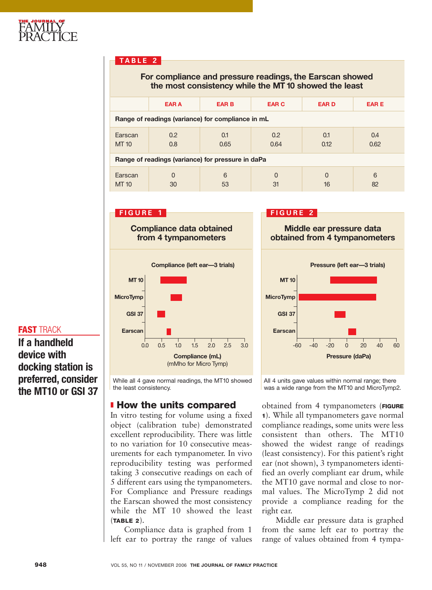

#### **TABLE 2**

# **For compliance and pressure readings, the Earscan showed the most consistency while the MT 10 showed the least**

|                                                   | <b>EAR A</b> | <b>EAR B</b> | <b>EAR C</b>   | <b>EARD</b>    | <b>EARE</b> |  |  |
|---------------------------------------------------|--------------|--------------|----------------|----------------|-------------|--|--|
| Range of readings (variance) for compliance in mL |              |              |                |                |             |  |  |
| Earscan<br><b>MT10</b>                            | 0.2<br>0.8   | 0.1<br>0.65  | 0.2<br>0.64    | 0.1<br>0.12    | 0.4<br>0.62 |  |  |
| Range of readings (variance) for pressure in daPa |              |              |                |                |             |  |  |
| Earscan<br><b>MT10</b>                            | 30           | 6<br>53      | $\Omega$<br>31 | $\Omega$<br>16 | 6<br>82     |  |  |

**FIGURE 1**

**Compliance data obtained from 4 tympanometers**



#### **FIGURE 2**

**Earscan**

**Middle ear pressure data obtained from 4 tympanometers MT 10 MicroTymp GSI 37 Pressure (left ear—3 trials)**

### **FAST** TRACK

**If a handheld device with docking station is preferred, consider the MT10 or GSI 37**

#### While all 4 gave normal readings, the MT10 showed the least consistency.

### ❚ **How the units compared**

In vitro testing for volume using a fixed object (calibration tube) demonstrated excellent reproducibility. There was little to no variation for 10 consecutive measurements for each tympanometer. In vivo reproducibility testing was performed taking 3 consecutive readings on each of 5 different ears using the tympanometers. For Compliance and Pressure readings the Earscan showed the most consistency while the MT 10 showed the least (**TABLE 2**).

Compliance data is graphed from 1 left ear to portray the range of values

All 4 units gave values within normal range; there was a wide range from the MT10 and MicroTymp2.

-60 -40 -20 0 20 40 60 **Pressure (daPa)**

obtained from 4 tympanometers (**FIGURE 1**). While all tympanometers gave normal compliance readings, some units were less consistent than others. The MT10 showed the widest range of readings (least consistency). For this patient's right ear (not shown), 3 tympanometers identified an overly compliant ear drum, while the MT10 gave normal and close to normal values. The MicroTymp 2 did not provide a compliance reading for the right ear.

Middle ear pressure data is graphed from the same left ear to portray the range of values obtained from 4 tympa-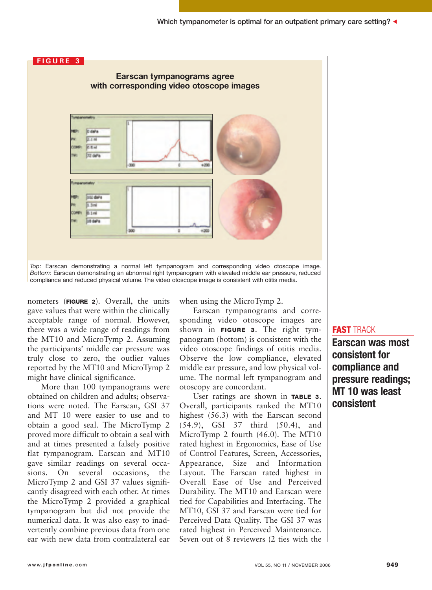

*Top:* Earscan demonstrating a normal left tympanogram and corresponding video otoscope image. *Bottom:* Earscan demonstrating an abnormal right tympanogram with elevated middle ear pressure, reduced compliance and reduced physical volume. The video otoscope image is consistent with otitis media.

nometers (**FIGURE 2**). Overall, the units gave values that were within the clinically acceptable range of normal. However, there was a wide range of readings from the MT10 and MicroTymp 2. Assuming the participants' middle ear pressure was truly close to zero, the outlier values reported by the MT10 and MicroTymp 2 might have clinical significance.

More than 100 tympanograms were obtained on children and adults; observations were noted. The Earscan, GSI 37 and MT 10 were easier to use and to obtain a good seal. The MicroTymp 2 proved more difficult to obtain a seal with and at times presented a falsely positive flat tympanogram. Earscan and MT10 gave similar readings on several occasions. On several occasions, the MicroTymp 2 and GSI 37 values significantly disagreed with each other. At times the MicroTymp 2 provided a graphical tympanogram but did not provide the numerical data. It was also easy to inadvertently combine previous data from one ear with new data from contralateral ear when using the MicroTymp 2.

Earscan tympanograms and corresponding video otoscope images are shown in **FIGURE 3**. The right tympanogram (bottom) is consistent with the video otoscope findings of otitis media. Observe the low compliance, elevated middle ear pressure, and low physical volume. The normal left tympanogram and otoscopy are concordant.

User ratings are shown in **TABLE 3**. Overall, participants ranked the MT10 highest (56.3) with the Earscan second (54.9), GSI 37 third (50.4), and MicroTymp 2 fourth (46.0). The MT10 rated highest in Ergonomics, Ease of Use of Control Features, Screen, Accessories, Appearance, Size and Information Layout. The Earscan rated highest in Overall Ease of Use and Perceived Durability. The MT10 and Earscan were tied for Capabilities and Interfacing. The MT10, GSI 37 and Earscan were tied for Perceived Data Quality. The GSI 37 was rated highest in Perceived Maintenance. Seven out of 8 reviewers (2 ties with the

#### **FAST** TRACK

**Earscan was most consistent for compliance and pressure readings; MT 10 was least consistent**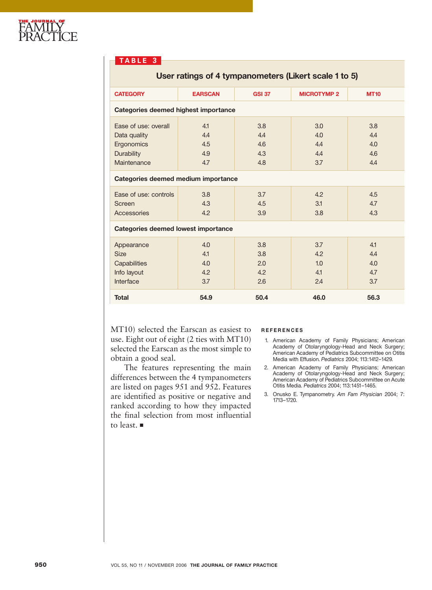

# **T ABLE 3**

| User ratings of 4 tympanometers (Likert scale 1 to 5)                                  |                                 |                                 |                                 |                                 |  |  |  |
|----------------------------------------------------------------------------------------|---------------------------------|---------------------------------|---------------------------------|---------------------------------|--|--|--|
| <b>CATEGORY</b>                                                                        | <b>EARSCAN</b>                  | <b>GSI 37</b>                   | <b>MICROTYMP 2</b>              | <b>MT10</b>                     |  |  |  |
| Categories deemed highest importance                                                   |                                 |                                 |                                 |                                 |  |  |  |
| Ease of use: overall<br>Data quality<br>Ergonomics<br><b>Durability</b><br>Maintenance | 4.1<br>44<br>4.5<br>4.9<br>4.7  | 3.8<br>44<br>4.6<br>4.3<br>4.8  | 3.0<br>4.0<br>4.4<br>44<br>3.7  | 3.8<br>44<br>4.0<br>4.6<br>4.4  |  |  |  |
| Categories deemed medium importance                                                    |                                 |                                 |                                 |                                 |  |  |  |
| Ease of use: controls<br>Screen<br>Accessories                                         | 3.8<br>4.3<br>4.2               | 3.7<br>4.5<br>3.9               | 4.2<br>3.1<br>3.8               | 4.5<br>4.7<br>4.3               |  |  |  |
| Categories deemed lowest importance                                                    |                                 |                                 |                                 |                                 |  |  |  |
| Appearance<br><b>Size</b><br>Capabilities<br>Info layout<br>Interface                  | 4.0<br>4.1<br>4.0<br>4.2<br>3.7 | 3.8<br>3.8<br>2.0<br>4.2<br>2.6 | 3.7<br>4.2<br>1.0<br>4.1<br>2.4 | 4.1<br>4.4<br>4.0<br>4.7<br>3.7 |  |  |  |
| <b>Total</b>                                                                           | 54.9                            | 50.4                            | 46.0                            | 56.3                            |  |  |  |

MT10) selected the Earscan as easiest to use. Eight out of eight (2 ties with MT10) selected the Earscan as the most simple to obtain a good seal.

The features representing the main differences between the 4 tympanometers are listed on pages 951 and 952. Features are identified as positive or negative and ranked according to how they impacted the final selection from most influential to least. ■

#### **REFERENCES**

- 1. American Academy of Family Physicians; American Academy of Otolaryngology-Head and Neck Surgery; American Academy of Pediatrics Subcommittee on Otitis Media with Effusion. *Pediatrics* 2004; 113:1412–1429.
- 2. American Academy of Family Physicians; American Academy of Otolaryngology-Head and Neck Surgery; American Academy of Pediatrics Subcommittee on Acute Otitis Media. *Pediatrics* 2004; 113:1451–1465.
- 3. Onusko E. Tympanometry. *Am Fam Physician* 2004; 7: 1713–1720.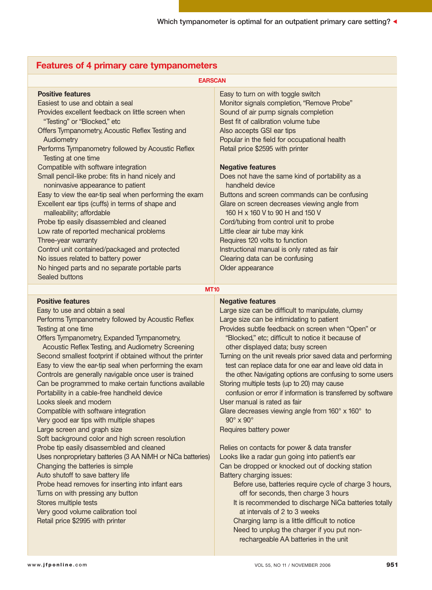# **Features of 4 primary care tympanometers**

| <b>EARSCAN</b>                                                                                                                                                                                                                                                                                                                                                                                                                                                                                                                                                                                                                                                                                                                                                                                                                                       |                                                                                                                                                                                                                                                                                                                                                                                                                                                                                                                                                                                                                                                                                                                                         |  |  |  |  |
|------------------------------------------------------------------------------------------------------------------------------------------------------------------------------------------------------------------------------------------------------------------------------------------------------------------------------------------------------------------------------------------------------------------------------------------------------------------------------------------------------------------------------------------------------------------------------------------------------------------------------------------------------------------------------------------------------------------------------------------------------------------------------------------------------------------------------------------------------|-----------------------------------------------------------------------------------------------------------------------------------------------------------------------------------------------------------------------------------------------------------------------------------------------------------------------------------------------------------------------------------------------------------------------------------------------------------------------------------------------------------------------------------------------------------------------------------------------------------------------------------------------------------------------------------------------------------------------------------------|--|--|--|--|
| <b>Positive features</b><br>Easiest to use and obtain a seal<br>Provides excellent feedback on little screen when<br>"Testing" or "Blocked," etc<br>Offers Tympanometry, Acoustic Reflex Testing and<br>Audiometry<br>Performs Tympanometry followed by Acoustic Reflex<br>Testing at one time<br>Compatible with software integration<br>Small pencil-like probe: fits in hand nicely and<br>noninvasive appearance to patient<br>Easy to view the ear-tip seal when performing the exam<br>Excellent ear tips (cuffs) in terms of shape and<br>malleability; affordable<br>Probe tip easily disassembled and cleaned<br>Low rate of reported mechanical problems<br>Three-year warranty<br>Control unit contained/packaged and protected<br>No issues related to battery power<br>No hinged parts and no separate portable parts<br>Sealed buttons | Easy to turn on with toggle switch<br>Monitor signals completion, "Remove Probe"<br>Sound of air pump signals completion<br>Best fit of calibration volume tube<br>Also accepts GSI ear tips<br>Popular in the field for occupational health<br>Retail price \$2595 with printer<br><b>Negative features</b><br>Does not have the same kind of portability as a<br>handheld device<br>Buttons and screen commands can be confusing<br>Glare on screen decreases viewing angle from<br>160 H x 160 V to 90 H and 150 V<br>Cord/tubing from control unit to probe<br>Little clear air tube may kink<br>Requires 120 volts to function<br>Instructional manual is only rated as fair<br>Clearing data can be confusing<br>Older appearance |  |  |  |  |
| <b>MT10</b>                                                                                                                                                                                                                                                                                                                                                                                                                                                                                                                                                                                                                                                                                                                                                                                                                                          |                                                                                                                                                                                                                                                                                                                                                                                                                                                                                                                                                                                                                                                                                                                                         |  |  |  |  |
|                                                                                                                                                                                                                                                                                                                                                                                                                                                                                                                                                                                                                                                                                                                                                                                                                                                      |                                                                                                                                                                                                                                                                                                                                                                                                                                                                                                                                                                                                                                                                                                                                         |  |  |  |  |
| <b>Positive features</b><br>Easy to use and obtain a seal<br>Performs Tympanometry followed by Acoustic Reflex<br>Testing at one time<br>Offers Tympanometry, Expanded Tympanometry,<br>Acoustic Reflex Testing, and Audiometry Screening<br>Second smallest footprint if obtained without the printer<br>Easy to view the ear-tip seal when performing the exam<br>Controls are generally navigable once user is trained<br>Can be programmed to make certain functions available<br>Portability in a cable-free handheld device<br>Looks sleek and modern<br>Compatible with software integration<br>Very good ear tips with multiple shapes<br>Large screen and graph size<br>Soft background color and high screen resolution                                                                                                                    | <b>Negative features</b><br>Large size can be difficult to manipulate, clumsy<br>Large size can be intimidating to patient<br>Provides subtle feedback on screen when "Open" or<br>"Blocked," etc; difficult to notice it because of<br>other displayed data; busy screen<br>Turning on the unit reveals prior saved data and performing<br>test can replace data for one ear and leave old data in<br>the other. Navigating options are confusing to some users<br>Storing multiple tests (up to 20) may cause<br>confusion or error if information is transferred by software<br>User manual is rated as fair<br>Glare decreases viewing angle from 160° x 160° to<br>$90^\circ \times 90^\circ$<br>Requires battery power            |  |  |  |  |
| Probe tip easily disassembled and cleaned<br>Uses nonproprietary batteries (3 AA NiMH or NiCa batteries)<br>Changing the batteries is simple<br>Auto shutoff to save battery life<br>Probe head removes for inserting into infant ears<br>Turns on with pressing any button<br>Stores multiple tests<br>Very good volume calibration tool<br>Retail price \$2995 with printer                                                                                                                                                                                                                                                                                                                                                                                                                                                                        | Relies on contacts for power & data transfer<br>Looks like a radar gun going into patient's ear<br>Can be dropped or knocked out of docking station<br>Battery charging issues:<br>Before use, batteries require cycle of charge 3 hours,<br>off for seconds, then charge 3 hours<br>It is recommended to discharge NiCa batteries totally<br>at intervals of 2 to 3 weeks<br>Charging lamp is a little difficult to notice                                                                                                                                                                                                                                                                                                             |  |  |  |  |

Need to unplug the charger if you put nonrechargeable AA batteries in the unit